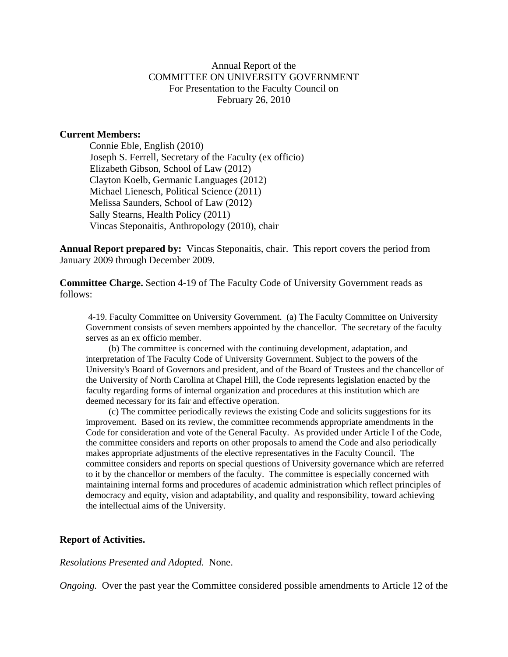### Annual Report of the COMMITTEE ON UNIVERSITY GOVERNMENT For Presentation to the Faculty Council on February 26, 2010

#### **Current Members:**

 Connie Eble, English (2010) Joseph S. Ferrell, Secretary of the Faculty (ex officio) Elizabeth Gibson, School of Law (2012) Clayton Koelb, Germanic Languages (2012) Michael Lienesch, Political Science (2011) Melissa Saunders, School of Law (2012) Sally Stearns, Health Policy (2011) Vincas Steponaitis, Anthropology (2010), chair

**Annual Report prepared by:** Vincas Steponaitis, chair. This report covers the period from January 2009 through December 2009.

**Committee Charge.** Section 4-19 of The Faculty Code of University Government reads as follows:

 4-19. Faculty Committee on University Government. (a) The Faculty Committee on University Government consists of seven members appointed by the chancellor. The secretary of the faculty serves as an ex officio member.

 (b) The committee is concerned with the continuing development, adaptation, and interpretation of The Faculty Code of University Government. Subject to the powers of the University's Board of Governors and president, and of the Board of Trustees and the chancellor of the University of North Carolina at Chapel Hill, the Code represents legislation enacted by the faculty regarding forms of internal organization and procedures at this institution which are deemed necessary for its fair and effective operation.

 (c) The committee periodically reviews the existing Code and solicits suggestions for its improvement. Based on its review, the committee recommends appropriate amendments in the Code for consideration and vote of the General Faculty. As provided under Article I of the Code, the committee considers and reports on other proposals to amend the Code and also periodically makes appropriate adjustments of the elective representatives in the Faculty Council. The committee considers and reports on special questions of University governance which are referred to it by the chancellor or members of the faculty. The committee is especially concerned with maintaining internal forms and procedures of academic administration which reflect principles of democracy and equity, vision and adaptability, and quality and responsibility, toward achieving the intellectual aims of the University.

#### **Report of Activities.**

*Resolutions Presented and Adopted.* None.

*Ongoing.* Over the past year the Committee considered possible amendments to Article 12 of the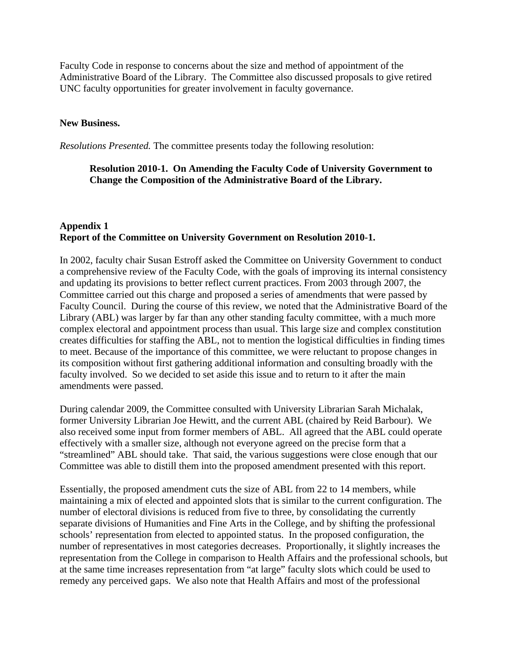Faculty Code in response to concerns about the size and method of appointment of the Administrative Board of the Library. The Committee also discussed proposals to give retired UNC faculty opportunities for greater involvement in faculty governance.

### **New Business.**

*Resolutions Presented.* The committee presents today the following resolution:

# **Resolution 2010-1. On Amending the Faculty Code of University Government to Change the Composition of the Administrative Board of the Library.**

# **Appendix 1 Report of the Committee on University Government on Resolution 2010-1.**

In 2002, faculty chair Susan Estroff asked the Committee on University Government to conduct a comprehensive review of the Faculty Code, with the goals of improving its internal consistency and updating its provisions to better reflect current practices. From 2003 through 2007, the Committee carried out this charge and proposed a series of amendments that were passed by Faculty Council. During the course of this review, we noted that the Administrative Board of the Library (ABL) was larger by far than any other standing faculty committee, with a much more complex electoral and appointment process than usual. This large size and complex constitution creates difficulties for staffing the ABL, not to mention the logistical difficulties in finding times to meet. Because of the importance of this committee, we were reluctant to propose changes in its composition without first gathering additional information and consulting broadly with the faculty involved. So we decided to set aside this issue and to return to it after the main amendments were passed.

During calendar 2009, the Committee consulted with University Librarian Sarah Michalak, former University Librarian Joe Hewitt, and the current ABL (chaired by Reid Barbour). We also received some input from former members of ABL. All agreed that the ABL could operate effectively with a smaller size, although not everyone agreed on the precise form that a "streamlined" ABL should take. That said, the various suggestions were close enough that our Committee was able to distill them into the proposed amendment presented with this report.

Essentially, the proposed amendment cuts the size of ABL from 22 to 14 members, while maintaining a mix of elected and appointed slots that is similar to the current configuration. The number of electoral divisions is reduced from five to three, by consolidating the currently separate divisions of Humanities and Fine Arts in the College, and by shifting the professional schools' representation from elected to appointed status. In the proposed configuration, the number of representatives in most categories decreases. Proportionally, it slightly increases the representation from the College in comparison to Health Affairs and the professional schools, but at the same time increases representation from "at large" faculty slots which could be used to remedy any perceived gaps. We also note that Health Affairs and most of the professional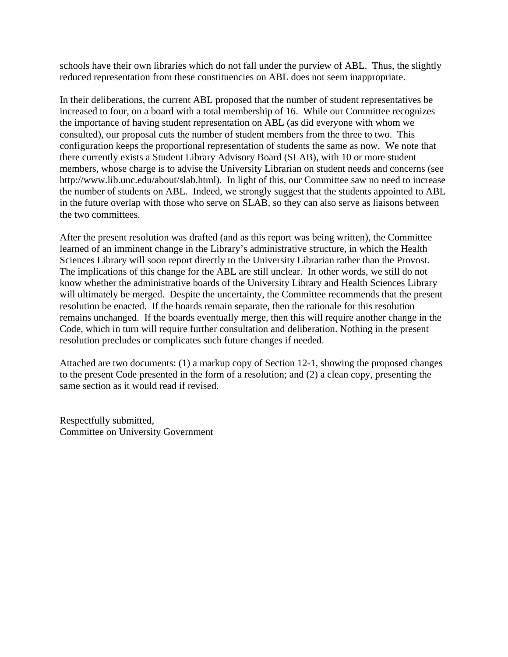schools have their own libraries which do not fall under the purview of ABL. Thus, the slightly reduced representation from these constituencies on ABL does not seem inappropriate.

In their deliberations, the current ABL proposed that the number of student representatives be increased to four, on a board with a total membership of 16. While our Committee recognizes the importance of having student representation on ABL (as did everyone with whom we consulted), our proposal cuts the number of student members from the three to two. This configuration keeps the proportional representation of students the same as now. We note that there currently exists a Student Library Advisory Board (SLAB), with 10 or more student members, whose charge is to advise the University Librarian on student needs and concerns (see http://www.lib.unc.edu/about/slab.html). In light of this, our Committee saw no need to increase the number of students on ABL. Indeed, we strongly suggest that the students appointed to ABL in the future overlap with those who serve on SLAB, so they can also serve as liaisons between the two committees.

After the present resolution was drafted (and as this report was being written), the Committee learned of an imminent change in the Library's administrative structure, in which the Health Sciences Library will soon report directly to the University Librarian rather than the Provost. The implications of this change for the ABL are still unclear. In other words, we still do not know whether the administrative boards of the University Library and Health Sciences Library will ultimately be merged. Despite the uncertainty, the Committee recommends that the present resolution be enacted. If the boards remain separate, then the rationale for this resolution remains unchanged. If the boards eventually merge, then this will require another change in the Code, which in turn will require further consultation and deliberation. Nothing in the present resolution precludes or complicates such future changes if needed.

Attached are two documents: (1) a markup copy of Section 12-1, showing the proposed changes to the present Code presented in the form of a resolution; and (2) a clean copy, presenting the same section as it would read if revised.

Respectfully submitted, Committee on University Government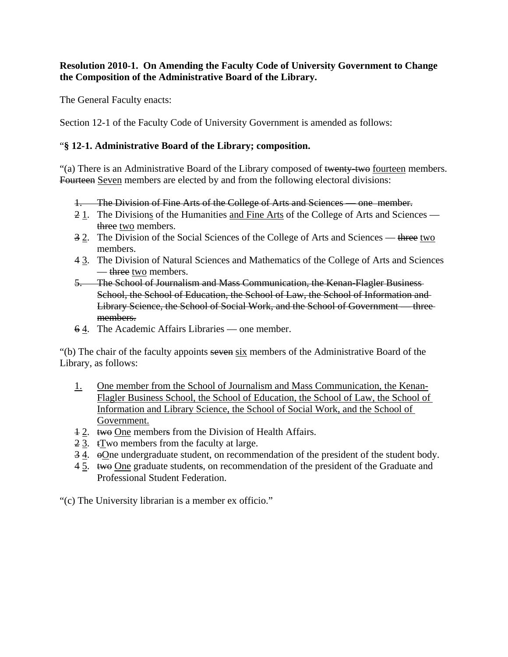# **Resolution 2010-1. On Amending the Faculty Code of University Government to Change the Composition of the Administrative Board of the Library.**

The General Faculty enacts:

Section 12-1 of the Faculty Code of University Government is amended as follows:

# "**§ 12-1. Administrative Board of the Library; composition.**

"(a) There is an Administrative Board of the Library composed of twenty-two fourteen members. Fourteen Seven members are elected by and from the following electoral divisions:

- 1. The Division of Fine Arts of the College of Arts and Sciences one member.
- 21. The Divisions of the Humanities and Fine Arts of the College of Arts and Sciences three two members.
- 3 2. The Division of the Social Sciences of the College of Arts and Sciences three two members.
- 4 3. The Division of Natural Sciences and Mathematics of the College of Arts and Sciences — three two members.
- 5. The School of Journalism and Mass Communication, the Kenan-Flagler Business School, the School of Education, the School of Law, the School of Information and Library Science, the School of Social Work, and the School of Government — three members.
- 6 4. The Academic Affairs Libraries one member.

"(b) The chair of the faculty appoints seven six members of the Administrative Board of the Library, as follows:

- 1. One member from the School of Journalism and Mass Communication, the Kenan-Flagler Business School, the School of Education, the School of Law, the School of Information and Library Science, the School of Social Work, and the School of Government.
- 12. two One members from the Division of Health Affairs.
- 2 3. tTwo members from the faculty at large.
- 3 4. oOne undergraduate student, on recommendation of the president of the student body.
- 4 5. two One graduate students, on recommendation of the president of the Graduate and Professional Student Federation.

"(c) The University librarian is a member ex officio."